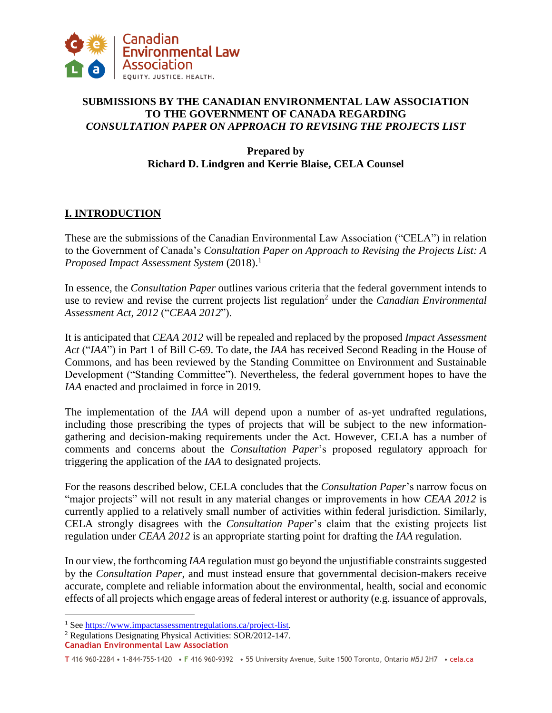

# **SUBMISSIONS BY THE CANADIAN ENVIRONMENTAL LAW ASSOCIATION TO THE GOVERNMENT OF CANADA REGARDING**  *CONSULTATION PAPER ON APPROACH TO REVISING THE PROJECTS LIST*

**Prepared by Richard D. Lindgren and Kerrie Blaise, CELA Counsel** 

# **I. INTRODUCTION**

These are the submissions of the Canadian Environmental Law Association ("CELA") in relation to the Government of Canada's *Consultation Paper on Approach to Revising the Projects List: A Proposed Impact Assessment System* (2018).<sup>1</sup>

In essence, the *Consultation Paper* outlines various criteria that the federal government intends to use to review and revise the current projects list regulation<sup>2</sup> under the *Canadian Environmental Assessment Act, 2012* ("*CEAA 2012*").

It is anticipated that *CEAA 2012* will be repealed and replaced by the proposed *Impact Assessment Act* ("*IAA*") in Part 1 of Bill C-69. To date, the *IAA* has received Second Reading in the House of Commons, and has been reviewed by the Standing Committee on Environment and Sustainable Development ("Standing Committee"). Nevertheless, the federal government hopes to have the *IAA* enacted and proclaimed in force in 2019.

The implementation of the *IAA* will depend upon a number of as-yet undrafted regulations, including those prescribing the types of projects that will be subject to the new informationgathering and decision-making requirements under the Act. However, CELA has a number of comments and concerns about the *Consultation Paper*'s proposed regulatory approach for triggering the application of the *IAA* to designated projects.

For the reasons described below, CELA concludes that the *Consultation Paper*'s narrow focus on "major projects" will not result in any material changes or improvements in how *CEAA 2012* is currently applied to a relatively small number of activities within federal jurisdiction. Similarly, CELA strongly disagrees with the *Consultation Paper*'s claim that the existing projects list regulation under *CEAA 2012* is an appropriate starting point for drafting the *IAA* regulation.

In our view, the forthcoming *IAA* regulation must go beyond the unjustifiable constraints suggested by the *Consultation Paper*, and must instead ensure that governmental decision-makers receive accurate, complete and reliable information about the environmental, health, social and economic effects of all projects which engage areas of federal interest or authority (e.g. issuance of approvals,

<sup>&</sup>lt;sup>1</sup> Se[e https://www.impactassessmentregulations.ca/project-list.](https://www.impactassessmentregulations.ca/project-list)

<sup>2</sup> Regulations Designating Physical Activities: SOR/2012-147.

**Canadian Environmental Law Association**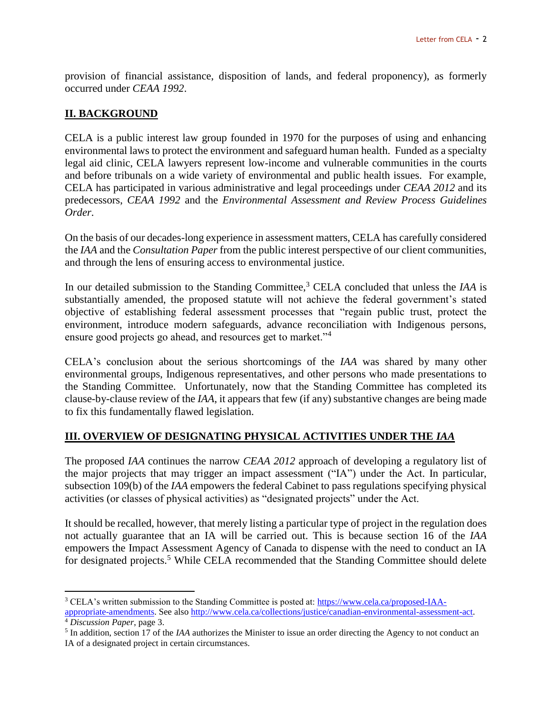provision of financial assistance, disposition of lands, and federal proponency), as formerly occurred under *CEAA 1992*.

## **II. BACKGROUND**

 $\overline{a}$ 

CELA is a public interest law group founded in 1970 for the purposes of using and enhancing environmental laws to protect the environment and safeguard human health. Funded as a specialty legal aid clinic, CELA lawyers represent low-income and vulnerable communities in the courts and before tribunals on a wide variety of environmental and public health issues. For example, CELA has participated in various administrative and legal proceedings under *CEAA 2012* and its predecessors, *CEAA 1992* and the *Environmental Assessment and Review Process Guidelines Order*.

On the basis of our decades-long experience in assessment matters, CELA has carefully considered the *IAA* and the *Consultation Paper* from the public interest perspective of our client communities, and through the lens of ensuring access to environmental justice.

In our detailed submission to the Standing Committee,<sup>3</sup> CELA concluded that unless the *IAA* is substantially amended, the proposed statute will not achieve the federal government's stated objective of establishing federal assessment processes that "regain public trust, protect the environment, introduce modern safeguards, advance reconciliation with Indigenous persons, ensure good projects go ahead, and resources get to market."<sup>4</sup>

CELA's conclusion about the serious shortcomings of the *IAA* was shared by many other environmental groups, Indigenous representatives, and other persons who made presentations to the Standing Committee. Unfortunately, now that the Standing Committee has completed its clause-by-clause review of the *IAA*, it appears that few (if any) substantive changes are being made to fix this fundamentally flawed legislation.

#### **III. OVERVIEW OF DESIGNATING PHYSICAL ACTIVITIES UNDER THE** *IAA*

The proposed *IAA* continues the narrow *CEAA 2012* approach of developing a regulatory list of the major projects that may trigger an impact assessment ("IA") under the Act. In particular, subsection 109(b) of the *IAA* empowers the federal Cabinet to pass regulations specifying physical activities (or classes of physical activities) as "designated projects" under the Act.

It should be recalled, however, that merely listing a particular type of project in the regulation does not actually guarantee that an IA will be carried out. This is because section 16 of the *IAA* empowers the Impact Assessment Agency of Canada to dispense with the need to conduct an IA for designated projects.<sup>5</sup> While CELA recommended that the Standing Committee should delete

<sup>3</sup> CELA's written submission to the Standing Committee is posted at: [https://www.cela.ca/proposed-IAA](https://www.cela.ca/proposed-IAA-appropriate-amendments)[appropriate-amendments.](https://www.cela.ca/proposed-IAA-appropriate-amendments) See also [http://www.cela.ca/collections/justice/canadian-environmental-assessment-act.](http://www.cela.ca/collections/justice/canadian-environmental-assessment-act) <sup>4</sup> *Discussion Paper*, page 3.

<sup>&</sup>lt;sup>5</sup> In addition, section 17 of the *IAA* authorizes the Minister to issue an order directing the Agency to not conduct an IA of a designated project in certain circumstances.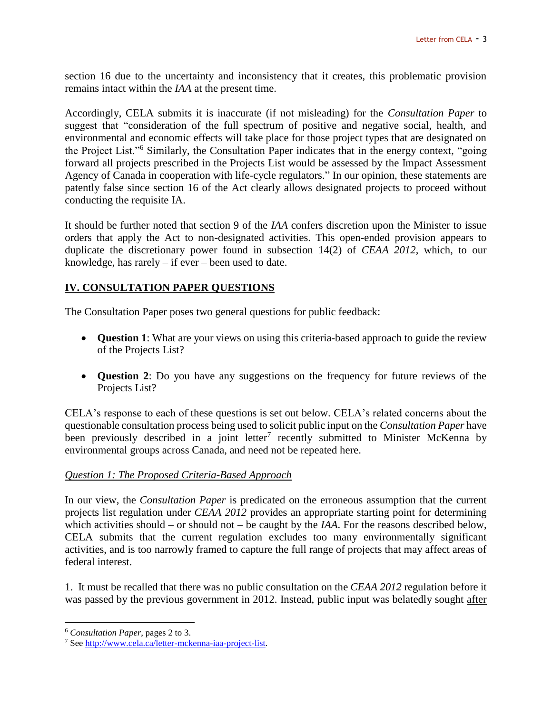section 16 due to the uncertainty and inconsistency that it creates, this problematic provision remains intact within the *IAA* at the present time.

Accordingly, CELA submits it is inaccurate (if not misleading) for the *Consultation Paper* to suggest that "consideration of the full spectrum of positive and negative social, health, and environmental and economic effects will take place for those project types that are designated on the Project List."<sup>6</sup> Similarly, the Consultation Paper indicates that in the energy context, "going forward all projects prescribed in the Projects List would be assessed by the Impact Assessment Agency of Canada in cooperation with life-cycle regulators." In our opinion, these statements are patently false since section 16 of the Act clearly allows designated projects to proceed without conducting the requisite IA.

It should be further noted that section 9 of the *IAA* confers discretion upon the Minister to issue orders that apply the Act to non-designated activities. This open-ended provision appears to duplicate the discretionary power found in subsection 14(2) of *CEAA 2012*, which, to our knowledge, has rarely – if ever – been used to date.

# **IV. CONSULTATION PAPER QUESTIONS**

The Consultation Paper poses two general questions for public feedback:

- **Question 1**: What are your views on using this criteria-based approach to guide the review of the Projects List?
- **Question 2**: Do you have any suggestions on the frequency for future reviews of the Projects List?

CELA's response to each of these questions is set out below. CELA's related concerns about the questionable consultation process being used to solicit public input on the *Consultation Paper* have been previously described in a joint letter<sup>7</sup> recently submitted to Minister McKenna by environmental groups across Canada, and need not be repeated here.

#### *Question 1: The Proposed Criteria-Based Approach*

In our view, the *Consultation Paper* is predicated on the erroneous assumption that the current projects list regulation under *CEAA 2012* provides an appropriate starting point for determining which activities should – or should not – be caught by the *IAA*. For the reasons described below, CELA submits that the current regulation excludes too many environmentally significant activities, and is too narrowly framed to capture the full range of projects that may affect areas of federal interest.

1. It must be recalled that there was no public consultation on the *CEAA 2012* regulation before it was passed by the previous government in 2012. Instead, public input was belatedly sought after

<sup>6</sup> *Consultation Paper*, pages 2 to 3.

<sup>7</sup> Se[e http://www.cela.ca/letter-mckenna-iaa-project-list.](http://www.cela.ca/letter-mckenna-iaa-project-list)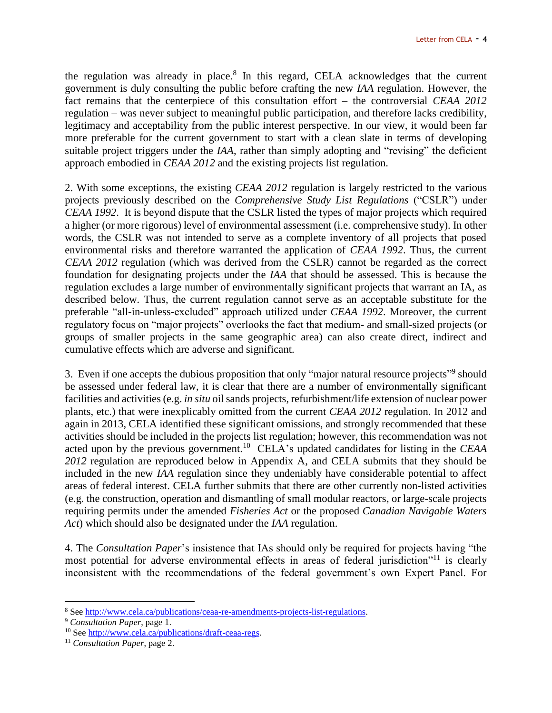the regulation was already in place. $8$  In this regard, CELA acknowledges that the current government is duly consulting the public before crafting the new *IAA* regulation. However, the fact remains that the centerpiece of this consultation effort – the controversial *CEAA 2012* regulation – was never subject to meaningful public participation, and therefore lacks credibility, legitimacy and acceptability from the public interest perspective. In our view, it would been far more preferable for the current government to start with a clean slate in terms of developing suitable project triggers under the *IAA*, rather than simply adopting and "revising" the deficient approach embodied in *CEAA 2012* and the existing projects list regulation.

2. With some exceptions, the existing *CEAA 2012* regulation is largely restricted to the various projects previously described on the *Comprehensive Study List Regulations* ("CSLR") under *CEAA 1992*. It is beyond dispute that the CSLR listed the types of major projects which required a higher (or more rigorous) level of environmental assessment (i.e. comprehensive study). In other words, the CSLR was not intended to serve as a complete inventory of all projects that posed environmental risks and therefore warranted the application of *CEAA 1992*. Thus, the current *CEAA 2012* regulation (which was derived from the CSLR) cannot be regarded as the correct foundation for designating projects under the *IAA* that should be assessed. This is because the regulation excludes a large number of environmentally significant projects that warrant an IA, as described below. Thus, the current regulation cannot serve as an acceptable substitute for the preferable "all-in-unless-excluded" approach utilized under *CEAA 1992*. Moreover, the current regulatory focus on "major projects" overlooks the fact that medium- and small-sized projects (or groups of smaller projects in the same geographic area) can also create direct, indirect and cumulative effects which are adverse and significant.

3. Even if one accepts the dubious proposition that only "major natural resource projects"<sup>9</sup> should be assessed under federal law, it is clear that there are a number of environmentally significant facilities and activities (e.g. *in situ* oil sands projects, refurbishment/life extension of nuclear power plants, etc.) that were inexplicably omitted from the current *CEAA 2012* regulation. In 2012 and again in 2013, CELA identified these significant omissions, and strongly recommended that these activities should be included in the projects list regulation; however, this recommendation was not acted upon by the previous government.<sup>10</sup> CELA's updated candidates for listing in the *CEAA 2012* regulation are reproduced below in Appendix A, and CELA submits that they should be included in the new *IAA* regulation since they undeniably have considerable potential to affect areas of federal interest. CELA further submits that there are other currently non-listed activities (e.g. the construction, operation and dismantling of small modular reactors, or large-scale projects requiring permits under the amended *Fisheries Act* or the proposed *Canadian Navigable Waters Act*) which should also be designated under the *IAA* regulation.

4. The *Consultation Paper*'s insistence that IAs should only be required for projects having "the most potential for adverse environmental effects in areas of federal jurisdiction<sup>"11</sup> is clearly inconsistent with the recommendations of the federal government's own Expert Panel. For

<sup>8</sup> Se[e http://www.cela.ca/publications/ceaa-re-amendments-projects-list-regulations.](http://www.cela.ca/publications/ceaa-re-amendments-projects-list-regulations)

<sup>9</sup> *Consultation Paper*, page 1.

<sup>10</sup> See [http://www.cela.ca/publications/draft-ceaa-regs.](http://www.cela.ca/publications/draft-ceaa-regs)

<sup>11</sup> *Consultation Paper*, page 2.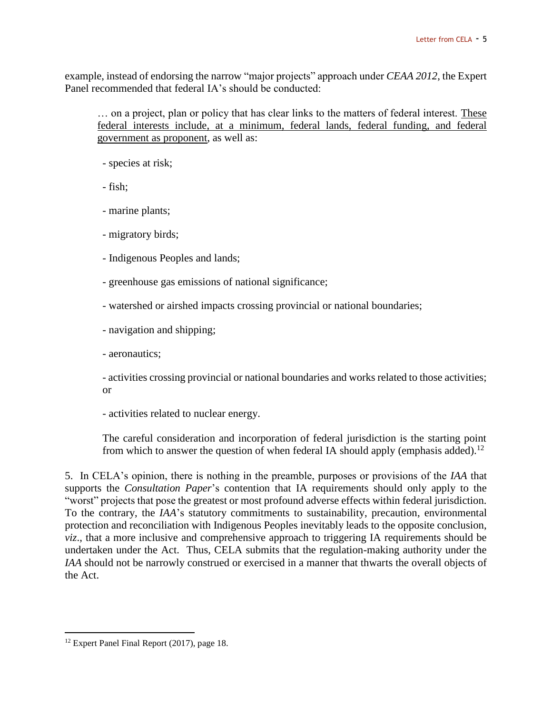example, instead of endorsing the narrow "major projects" approach under *CEAA 2012*, the Expert Panel recommended that federal IA's should be conducted:

… on a project, plan or policy that has clear links to the matters of federal interest. These federal interests include, at a minimum, federal lands, federal funding, and federal government as proponent, as well as:

- species at risk;

- fish;
- marine plants;
- migratory birds;
- Indigenous Peoples and lands;
- greenhouse gas emissions of national significance;
- watershed or airshed impacts crossing provincial or national boundaries;
- navigation and shipping;
- aeronautics;

- activities crossing provincial or national boundaries and works related to those activities; or

- activities related to nuclear energy.

The careful consideration and incorporation of federal jurisdiction is the starting point from which to answer the question of when federal IA should apply (emphasis added).<sup>12</sup>

5. In CELA's opinion, there is nothing in the preamble, purposes or provisions of the *IAA* that supports the *Consultation Paper*'s contention that IA requirements should only apply to the "worst" projects that pose the greatest or most profound adverse effects within federal jurisdiction. To the contrary, the *IAA*'s statutory commitments to sustainability, precaution, environmental protection and reconciliation with Indigenous Peoples inevitably leads to the opposite conclusion, *viz*., that a more inclusive and comprehensive approach to triggering IA requirements should be undertaken under the Act. Thus, CELA submits that the regulation-making authority under the *IAA* should not be narrowly construed or exercised in a manner that thwarts the overall objects of the Act.

<sup>&</sup>lt;sup>12</sup> Expert Panel Final Report (2017), page 18.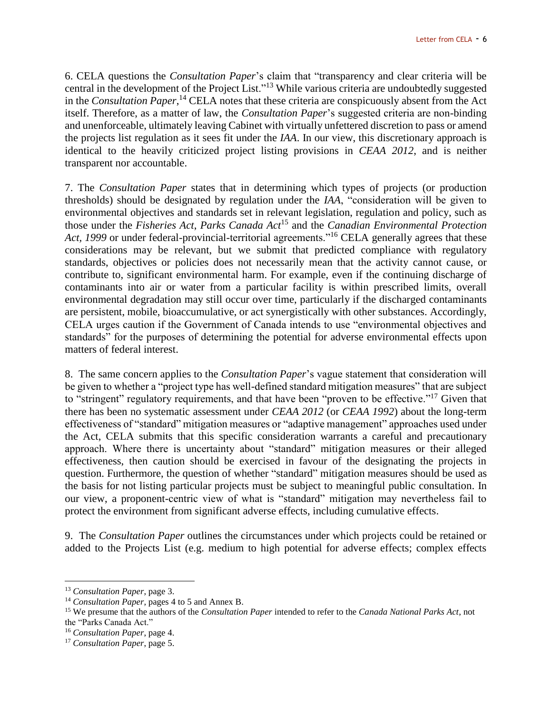6. CELA questions the *Consultation Paper*'s claim that "transparency and clear criteria will be central in the development of the Project List."<sup>13</sup> While various criteria are undoubtedly suggested in the *Consultation Paper*, <sup>14</sup> CELA notes that these criteria are conspicuously absent from the Act itself. Therefore, as a matter of law, the *Consultation Paper*'s suggested criteria are non-binding and unenforceable, ultimately leaving Cabinet with virtually unfettered discretion to pass or amend the projects list regulation as it sees fit under the *IAA*. In our view, this discretionary approach is identical to the heavily criticized project listing provisions in *CEAA 2012*, and is neither transparent nor accountable.

7. The *Consultation Paper* states that in determining which types of projects (or production thresholds) should be designated by regulation under the *IAA*, "consideration will be given to environmental objectives and standards set in relevant legislation, regulation and policy, such as those under the *Fisheries Act*, *Parks Canada Act*<sup>15</sup> and the *Canadian Environmental Protection*  Act, 1999 or under federal-provincial-territorial agreements."<sup>16</sup> CELA generally agrees that these considerations may be relevant, but we submit that predicted compliance with regulatory standards, objectives or policies does not necessarily mean that the activity cannot cause, or contribute to, significant environmental harm. For example, even if the continuing discharge of contaminants into air or water from a particular facility is within prescribed limits, overall environmental degradation may still occur over time, particularly if the discharged contaminants are persistent, mobile, bioaccumulative, or act synergistically with other substances. Accordingly, CELA urges caution if the Government of Canada intends to use "environmental objectives and standards" for the purposes of determining the potential for adverse environmental effects upon matters of federal interest.

8. The same concern applies to the *Consultation Paper*'s vague statement that consideration will be given to whether a "project type has well-defined standard mitigation measures" that are subject to "stringent" regulatory requirements, and that have been "proven to be effective."<sup>17</sup> Given that there has been no systematic assessment under *CEAA 2012* (or *CEAA 1992*) about the long-term effectiveness of "standard" mitigation measures or "adaptive management" approaches used under the Act, CELA submits that this specific consideration warrants a careful and precautionary approach. Where there is uncertainty about "standard" mitigation measures or their alleged effectiveness, then caution should be exercised in favour of the designating the projects in question. Furthermore, the question of whether "standard" mitigation measures should be used as the basis for not listing particular projects must be subject to meaningful public consultation. In our view, a proponent-centric view of what is "standard" mitigation may nevertheless fail to protect the environment from significant adverse effects, including cumulative effects.

9. The *Consultation Paper* outlines the circumstances under which projects could be retained or added to the Projects List (e.g. medium to high potential for adverse effects; complex effects

<sup>13</sup> *Consultation Paper*, page 3.

<sup>14</sup> *Consultation Paper*, pages 4 to 5 and Annex B.

<sup>15</sup> We presume that the authors of the *Consultation Paper* intended to refer to the *Canada National Parks Act*, not the "Parks Canada Act."

<sup>16</sup> *Consultation Paper*, page 4.

<sup>17</sup> *Consultation Paper*, page 5.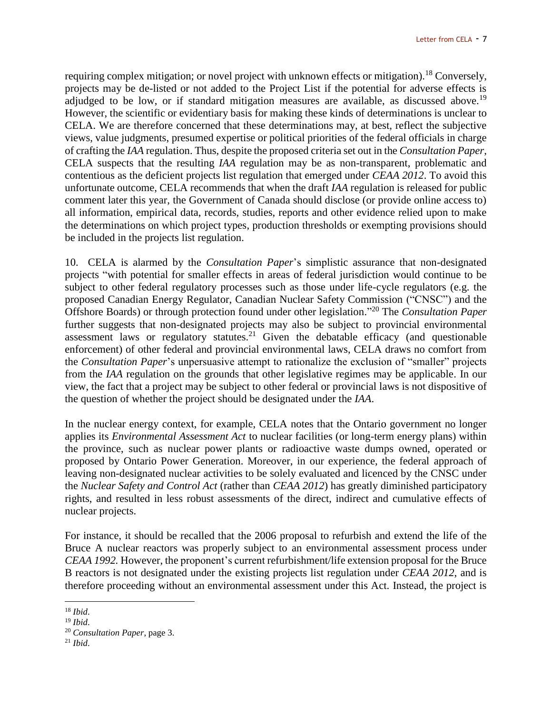requiring complex mitigation; or novel project with unknown effects or mitigation).<sup>18</sup> Conversely, projects may be de-listed or not added to the Project List if the potential for adverse effects is adjudged to be low, or if standard mitigation measures are available, as discussed above.<sup>19</sup> However, the scientific or evidentiary basis for making these kinds of determinations is unclear to CELA. We are therefore concerned that these determinations may, at best, reflect the subjective views, value judgments, presumed expertise or political priorities of the federal officials in charge of crafting the *IAA* regulation. Thus, despite the proposed criteria set out in the *Consultation Paper*, CELA suspects that the resulting *IAA* regulation may be as non-transparent, problematic and contentious as the deficient projects list regulation that emerged under *CEAA 2012*. To avoid this unfortunate outcome, CELA recommends that when the draft *IAA* regulation is released for public comment later this year, the Government of Canada should disclose (or provide online access to) all information, empirical data, records, studies, reports and other evidence relied upon to make the determinations on which project types, production thresholds or exempting provisions should be included in the projects list regulation.

10. CELA is alarmed by the *Consultation Paper*'s simplistic assurance that non-designated projects "with potential for smaller effects in areas of federal jurisdiction would continue to be subject to other federal regulatory processes such as those under life-cycle regulators (e.g. the proposed Canadian Energy Regulator, Canadian Nuclear Safety Commission ("CNSC") and the Offshore Boards) or through protection found under other legislation." <sup>20</sup> The *Consultation Paper* further suggests that non-designated projects may also be subject to provincial environmental assessment laws or regulatory statutes.<sup>21</sup> Given the debatable efficacy (and questionable enforcement) of other federal and provincial environmental laws, CELA draws no comfort from the *Consultation Paper*'s unpersuasive attempt to rationalize the exclusion of "smaller" projects from the *IAA* regulation on the grounds that other legislative regimes may be applicable. In our view, the fact that a project may be subject to other federal or provincial laws is not dispositive of the question of whether the project should be designated under the *IAA*.

In the nuclear energy context, for example, CELA notes that the Ontario government no longer applies its *Environmental Assessment Act* to nuclear facilities (or long-term energy plans) within the province, such as nuclear power plants or radioactive waste dumps owned, operated or proposed by Ontario Power Generation. Moreover, in our experience, the federal approach of leaving non-designated nuclear activities to be solely evaluated and licenced by the CNSC under the *Nuclear Safety and Control Act* (rather than *CEAA 2012*) has greatly diminished participatory rights, and resulted in less robust assessments of the direct, indirect and cumulative effects of nuclear projects.

For instance, it should be recalled that the 2006 proposal to refurbish and extend the life of the Bruce A nuclear reactors was properly subject to an environmental assessment process under *CEAA 1992.* However, the proponent's current refurbishment/life extension proposal for the Bruce B reactors is not designated under the existing projects list regulation under *CEAA 2012*, and is therefore proceeding without an environmental assessment under this Act. Instead, the project is

 $\overline{a}$ <sup>18</sup> *Ibid*.

<sup>19</sup> *Ibid*.

<sup>20</sup> *Consultation Paper*, page 3.

<sup>21</sup> *Ibid*.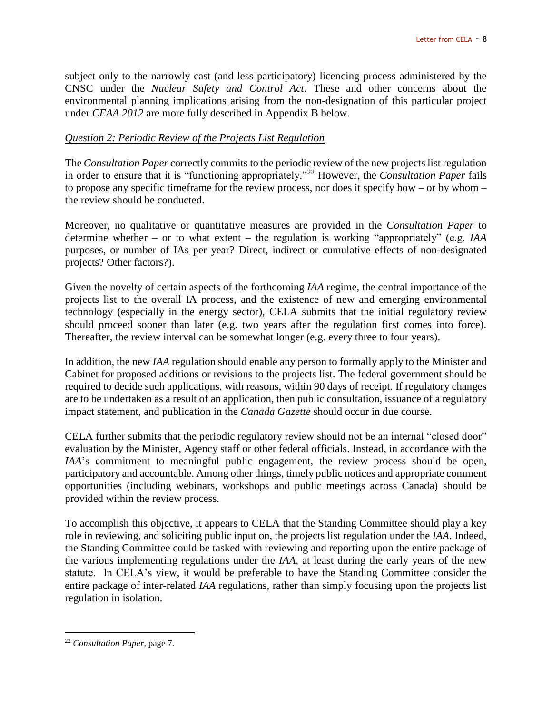subject only to the narrowly cast (and less participatory) licencing process administered by the CNSC under the *Nuclear Safety and Control Act*. These and other concerns about the environmental planning implications arising from the non-designation of this particular project under *CEAA 2012* are more fully described in Appendix B below.

### *Question 2: Periodic Review of the Projects List Regulation*

The *Consultation Paper* correctly commits to the periodic review of the new projects list regulation in order to ensure that it is "functioning appropriately."<sup>22</sup> However, the *Consultation Paper* fails to propose any specific timeframe for the review process, nor does it specify how – or by whom – the review should be conducted.

Moreover, no qualitative or quantitative measures are provided in the *Consultation Paper* to determine whether – or to what extent – the regulation is working "appropriately" (e.g. *IAA* purposes, or number of IAs per year? Direct, indirect or cumulative effects of non-designated projects? Other factors?).

Given the novelty of certain aspects of the forthcoming *IAA* regime, the central importance of the projects list to the overall IA process, and the existence of new and emerging environmental technology (especially in the energy sector), CELA submits that the initial regulatory review should proceed sooner than later (e.g. two years after the regulation first comes into force). Thereafter, the review interval can be somewhat longer (e.g. every three to four years).

In addition, the new *IAA* regulation should enable any person to formally apply to the Minister and Cabinet for proposed additions or revisions to the projects list. The federal government should be required to decide such applications, with reasons, within 90 days of receipt. If regulatory changes are to be undertaken as a result of an application, then public consultation, issuance of a regulatory impact statement, and publication in the *Canada Gazette* should occur in due course.

CELA further submits that the periodic regulatory review should not be an internal "closed door" evaluation by the Minister, Agency staff or other federal officials. Instead, in accordance with the *IAA*'s commitment to meaningful public engagement, the review process should be open, participatory and accountable. Among other things, timely public notices and appropriate comment opportunities (including webinars, workshops and public meetings across Canada) should be provided within the review process.

To accomplish this objective, it appears to CELA that the Standing Committee should play a key role in reviewing, and soliciting public input on, the projects list regulation under the *IAA*. Indeed, the Standing Committee could be tasked with reviewing and reporting upon the entire package of the various implementing regulations under the *IAA*, at least during the early years of the new statute. In CELA's view, it would be preferable to have the Standing Committee consider the entire package of inter-related *IAA* regulations, rather than simply focusing upon the projects list regulation in isolation.

<sup>22</sup> *Consultation Paper*, page 7.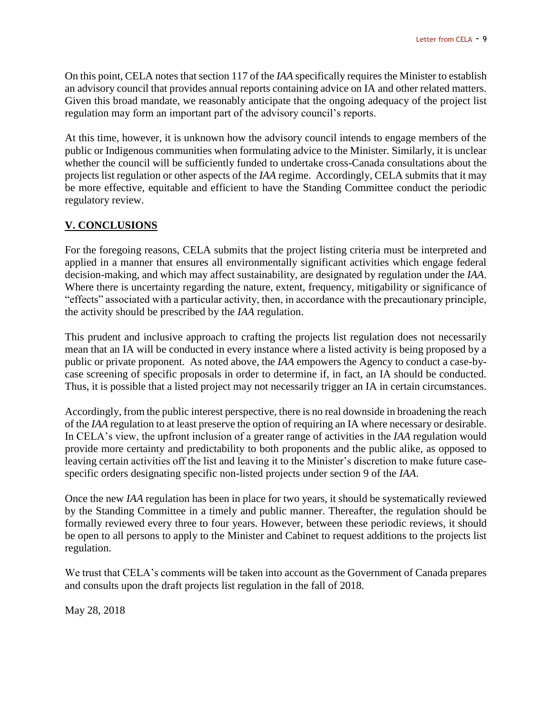On this point, CELA notes that section 117 of the *IAA* specifically requires the Minister to establish an advisory council that provides annual reports containing advice on IA and other related matters. Given this broad mandate, we reasonably anticipate that the ongoing adequacy of the project list regulation may form an important part of the advisory council's reports.

At this time, however, it is unknown how the advisory council intends to engage members of the public or Indigenous communities when formulating advice to the Minister. Similarly, it is unclear whether the council will be sufficiently funded to undertake cross-Canada consultations about the projects list regulation or other aspects of the *IAA* regime. Accordingly, CELA submits that it may be more effective, equitable and efficient to have the Standing Committee conduct the periodic regulatory review.

# **V. CONCLUSIONS**

For the foregoing reasons, CELA submits that the project listing criteria must be interpreted and applied in a manner that ensures all environmentally significant activities which engage federal decision-making, and which may affect sustainability, are designated by regulation under the *IAA*. Where there is uncertainty regarding the nature, extent, frequency, mitigability or significance of "effects" associated with a particular activity, then, in accordance with the precautionary principle, the activity should be prescribed by the *IAA* regulation.

This prudent and inclusive approach to crafting the projects list regulation does not necessarily mean that an IA will be conducted in every instance where a listed activity is being proposed by a public or private proponent. As noted above, the *IAA* empowers the Agency to conduct a case-bycase screening of specific proposals in order to determine if, in fact, an IA should be conducted. Thus, it is possible that a listed project may not necessarily trigger an IA in certain circumstances.

Accordingly, from the public interest perspective, there is no real downside in broadening the reach of the *IAA* regulation to at least preserve the option of requiring an IA where necessary or desirable. In CELA's view, the upfront inclusion of a greater range of activities in the *IAA* regulation would provide more certainty and predictability to both proponents and the public alike, as opposed to leaving certain activities off the list and leaving it to the Minister's discretion to make future casespecific orders designating specific non-listed projects under section 9 of the *IAA*.

Once the new *IAA* regulation has been in place for two years, it should be systematically reviewed by the Standing Committee in a timely and public manner. Thereafter, the regulation should be formally reviewed every three to four years. However, between these periodic reviews, it should be open to all persons to apply to the Minister and Cabinet to request additions to the projects list regulation.

We trust that CELA's comments will be taken into account as the Government of Canada prepares and consults upon the draft projects list regulation in the fall of 2018.

May 28, 2018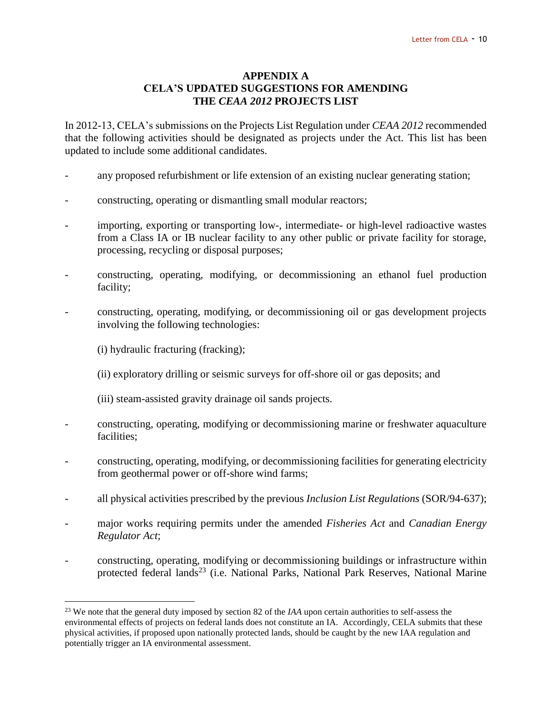#### **APPENDIX A CELA'S UPDATED SUGGESTIONS FOR AMENDING THE** *CEAA 2012* **PROJECTS LIST**

In 2012-13, CELA's submissions on the Projects List Regulation under *CEAA 2012* recommended that the following activities should be designated as projects under the Act. This list has been updated to include some additional candidates.

- any proposed refurbishment or life extension of an existing nuclear generating station;
- constructing, operating or dismantling small modular reactors;
- importing, exporting or transporting low-, intermediate- or high-level radioactive wastes from a Class IA or IB nuclear facility to any other public or private facility for storage, processing, recycling or disposal purposes;
- constructing, operating, modifying, or decommissioning an ethanol fuel production facility;
- constructing, operating, modifying, or decommissioning oil or gas development projects involving the following technologies:
	- (i) hydraulic fracturing (fracking);

- (ii) exploratory drilling or seismic surveys for off-shore oil or gas deposits; and
- (iii) steam-assisted gravity drainage oil sands projects.
- constructing, operating, modifying or decommissioning marine or freshwater aquaculture facilities;
- constructing, operating, modifying, or decommissioning facilities for generating electricity from geothermal power or off-shore wind farms;
- all physical activities prescribed by the previous *Inclusion List Regulations* (SOR/94-637);
- major works requiring permits under the amended *Fisheries Act* and *Canadian Energy Regulator Act*;
- constructing, operating, modifying or decommissioning buildings or infrastructure within protected federal lands<sup>23</sup> (i.e. National Parks, National Park Reserves, National Marine

<sup>&</sup>lt;sup>23</sup> We note that the general duty imposed by section 82 of the *IAA* upon certain authorities to self-assess the environmental effects of projects on federal lands does not constitute an IA. Accordingly, CELA submits that these physical activities, if proposed upon nationally protected lands, should be caught by the new IAA regulation and potentially trigger an IA environmental assessment.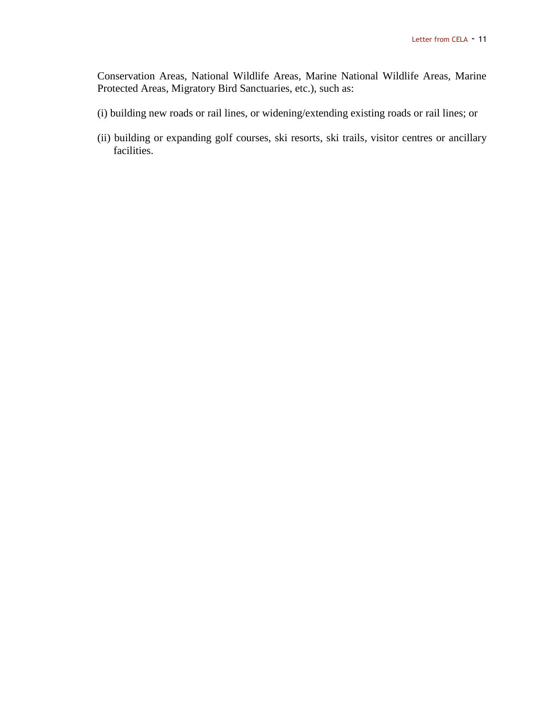Conservation Areas, National Wildlife Areas, Marine National Wildlife Areas, Marine Protected Areas, Migratory Bird Sanctuaries, etc.), such as:

- (i) building new roads or rail lines, or widening/extending existing roads or rail lines; or
- (ii) building or expanding golf courses, ski resorts, ski trails, visitor centres or ancillary facilities.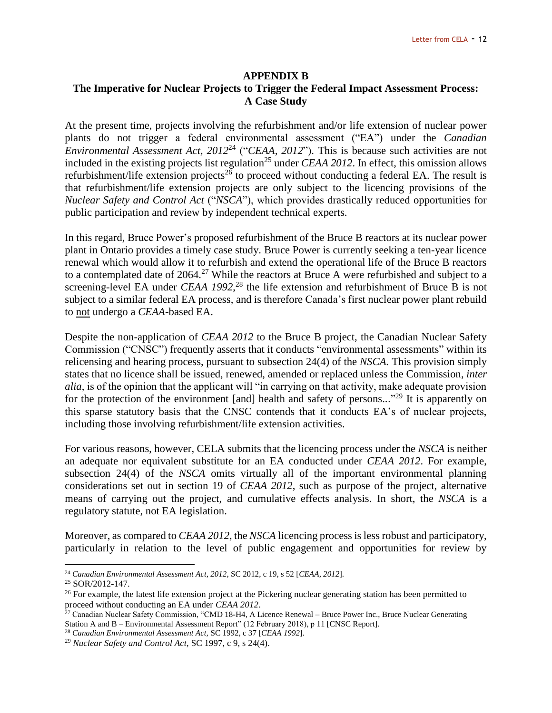#### **APPENDIX B**

### **The Imperative for Nuclear Projects to Trigger the Federal Impact Assessment Process: A Case Study**

At the present time, projects involving the refurbishment and/or life extension of nuclear power plants do not trigger a federal environmental assessment ("EA") under the *Canadian Environmental Assessment Act, 2012*<sup>24</sup> ("*CEAA, 2012*"). This is because such activities are not included in the existing projects list regulation<sup>25</sup> under *CEAA 2012*. In effect, this omission allows refurbishment/life extension projects<sup>26</sup> to proceed without conducting a federal EA. The result is that refurbishment/life extension projects are only subject to the licencing provisions of the *Nuclear Safety and Control Act* ("*NSCA*"), which provides drastically reduced opportunities for public participation and review by independent technical experts.

In this regard, Bruce Power's proposed refurbishment of the Bruce B reactors at its nuclear power plant in Ontario provides a timely case study. Bruce Power is currently seeking a ten-year licence renewal which would allow it to refurbish and extend the operational life of the Bruce B reactors to a contemplated date of  $2064<sup>27</sup>$  While the reactors at Bruce A were refurbished and subject to a screening-level EA under *CEAA 1992*, <sup>28</sup> the life extension and refurbishment of Bruce B is not subject to a similar federal EA process, and is therefore Canada's first nuclear power plant rebuild to not undergo a *CEAA*-based EA.

Despite the non-application of *CEAA 2012* to the Bruce B project, the Canadian Nuclear Safety Commission ("CNSC") frequently asserts that it conducts "environmental assessments" within its relicensing and hearing process, pursuant to subsection 24(4) of the *NSCA.* This provision simply states that no licence shall be issued, renewed, amended or replaced unless the Commission, *inter alia*, is of the opinion that the applicant will "in carrying on that activity, make adequate provision for the protection of the environment [and] health and safety of persons..."<sup>29</sup> It is apparently on this sparse statutory basis that the CNSC contends that it conducts EA's of nuclear projects, including those involving refurbishment/life extension activities.

For various reasons, however, CELA submits that the licencing process under the *NSCA* is neither an adequate nor equivalent substitute for an EA conducted under *CEAA 2012*. For example, subsection 24(4) of the *NSCA* omits virtually all of the important environmental planning considerations set out in section 19 of *CEAA 2012*, such as purpose of the project, alternative means of carrying out the project, and cumulative effects analysis. In short, the *NSCA* is a regulatory statute, not EA legislation.

Moreover, as compared to *CEAA 2012*, the *NSCA* licencing process is less robust and participatory, particularly in relation to the level of public engagement and opportunities for review by

<sup>24</sup> *Canadian Environmental Assessment Act, 2012*, SC 2012, c 19, s 52 [*CEAA, 2012*].

<sup>25</sup> SOR/2012-147.

<sup>&</sup>lt;sup>26</sup> For example, the latest life extension project at the Pickering nuclear generating station has been permitted to proceed without conducting an EA under *CEAA 2012*.

<sup>&</sup>lt;sup>27</sup> Canadian Nuclear Safety Commission, "CMD 18-H4, A Licence Renewal – Bruce Power Inc., Bruce Nuclear Generating Station A and B – Environmental Assessment Report" (12 February 2018), p 11 [CNSC Report].

<sup>28</sup> *Canadian Environmental Assessment Act,* SC 1992, c 37 [*CEAA 1992*].

<sup>29</sup> *Nuclear Safety and Control Act,* SC 1997, c 9, s 24(4).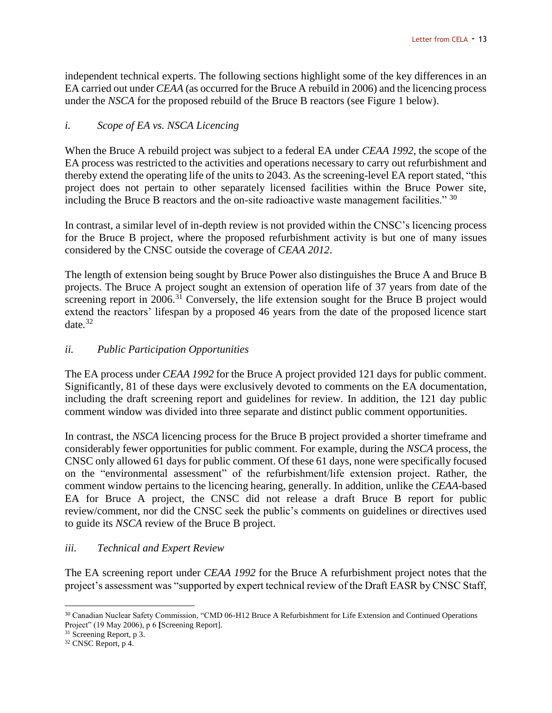independent technical experts. The following sections highlight some of the key differences in an EA carried out under *CEAA* (as occurred for the Bruce A rebuild in 2006) and the licencing process under the *NSCA* for the proposed rebuild of the Bruce B reactors (see Figure 1 below).

### *i. Scope of EA vs. NSCA Licencing*

When the Bruce A rebuild project was subject to a federal EA under *CEAA 1992*, the scope of the EA process was restricted to the activities and operations necessary to carry out refurbishment and thereby extend the operating life of the units to 2043. As the screening-level EA report stated, "this project does not pertain to other separately licensed facilities within the Bruce Power site, including the Bruce B reactors and the on-site radioactive waste management facilities."  $30$ 

In contrast, a similar level of in-depth review is not provided within the CNSC's licencing process for the Bruce B project, where the proposed refurbishment activity is but one of many issues considered by the CNSC outside the coverage of *CEAA 2012*.

The length of extension being sought by Bruce Power also distinguishes the Bruce A and Bruce B projects. The Bruce A project sought an extension of operation life of 37 years from date of the screening report in 2006.<sup>31</sup> Conversely, the life extension sought for the Bruce B project would extend the reactors' lifespan by a proposed 46 years from the date of the proposed licence start date*.* 32

### *ii. Public Participation Opportunities*

The EA process under *CEAA 1992* for the Bruce A project provided 121 days for public comment. Significantly, 81 of these days were exclusively devoted to comments on the EA documentation, including the draft screening report and guidelines for review. In addition, the 121 day public comment window was divided into three separate and distinct public comment opportunities.

In contrast, the *NSCA* licencing process for the Bruce B project provided a shorter timeframe and considerably fewer opportunities for public comment. For example, during the *NSCA* process, the CNSC only allowed 61 days for public comment. Of these 61 days, none were specifically focused on the "environmental assessment" of the refurbishment/life extension project. Rather, the comment window pertains to the licencing hearing, generally. In addition, unlike the *CEAA*-based EA for Bruce A project, the CNSC did not release a draft Bruce B report for public review/comment, nor did the CNSC seek the public's comments on guidelines or directives used to guide its *NSCA* review of the Bruce B project.

#### *iii. Technical and Expert Review*

The EA screening report under *CEAA 1992* for the Bruce A refurbishment project notes that the project's assessment was "supported by expert technical review of the Draft EASR by CNSC Staff,

<sup>&</sup>lt;sup>30</sup> Canadian Nuclear Safety Commission, "CMD 06-H12 Bruce A Refurbishment for Life Extension and Continued Operations Project" (19 May 2006), p 6 **[**Screening Report].

<sup>&</sup>lt;sup>31</sup> Screening Report, p 3.

<sup>32</sup> CNSC Report, p 4.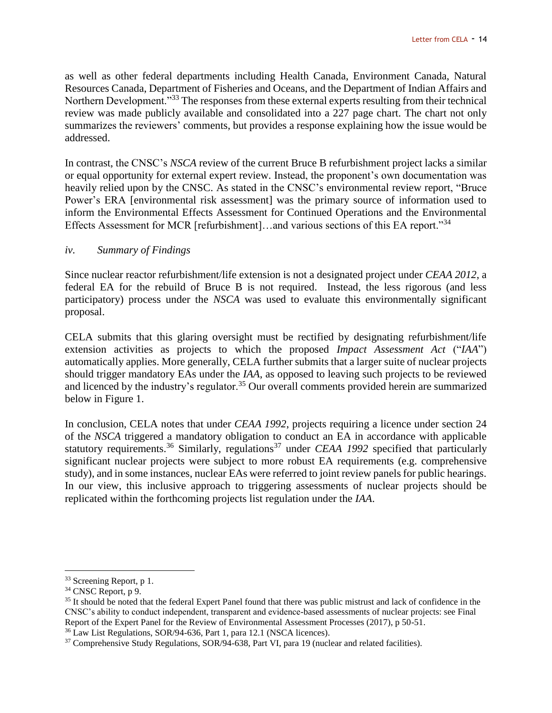as well as other federal departments including Health Canada, Environment Canada, Natural Resources Canada, Department of Fisheries and Oceans, and the Department of Indian Affairs and Northern Development."<sup>33</sup> The responses from these external experts resulting from their technical review was made publicly available and consolidated into a 227 page chart. The chart not only summarizes the reviewers' comments, but provides a response explaining how the issue would be addressed.

In contrast, the CNSC's *NSCA* review of the current Bruce B refurbishment project lacks a similar or equal opportunity for external expert review. Instead, the proponent's own documentation was heavily relied upon by the CNSC. As stated in the CNSC's environmental review report, "Bruce Power's ERA [environmental risk assessment] was the primary source of information used to inform the Environmental Effects Assessment for Continued Operations and the Environmental Effects Assessment for MCR [refurbishment]...and various sections of this EA report."<sup>34</sup>

#### *iv. Summary of Findings*

Since nuclear reactor refurbishment/life extension is not a designated project under *CEAA 2012*, a federal EA for the rebuild of Bruce B is not required. Instead, the less rigorous (and less participatory) process under the *NSCA* was used to evaluate this environmentally significant proposal.

CELA submits that this glaring oversight must be rectified by designating refurbishment/life extension activities as projects to which the proposed *Impact Assessment Act* ("*IAA*") automatically applies. More generally, CELA further submits that a larger suite of nuclear projects should trigger mandatory EAs under the *IAA*, as opposed to leaving such projects to be reviewed and licenced by the industry's regulator.<sup>35</sup> Our overall comments provided herein are summarized below in Figure 1.

In conclusion, CELA notes that under *CEAA 1992*, projects requiring a licence under section 24 of the *NSCA* triggered a mandatory obligation to conduct an EA in accordance with applicable statutory requirements.<sup>36</sup> Similarly, regulations<sup>37</sup> under *CEAA 1992* specified that particularly significant nuclear projects were subject to more robust EA requirements (e.g. comprehensive study), and in some instances, nuclear EAs were referred to joint review panels for public hearings. In our view, this inclusive approach to triggering assessments of nuclear projects should be replicated within the forthcoming projects list regulation under the *IAA*.

<sup>&</sup>lt;sup>33</sup> Screening Report, p 1.

<sup>&</sup>lt;sup>34</sup> CNSC Report, p 9.

<sup>&</sup>lt;sup>35</sup> It should be noted that the federal Expert Panel found that there was public mistrust and lack of confidence in the CNSC's ability to conduct independent, transparent and evidence-based assessments of nuclear projects: see Final Report of the Expert Panel for the Review of Environmental Assessment Processes (2017), p 50-51.

<sup>36</sup> Law List Regulations, SOR/94-636, Part 1, para 12.1 (NSCA licences).

<sup>&</sup>lt;sup>37</sup> Comprehensive Study Regulations, SOR/94-638, Part VI, para 19 (nuclear and related facilities).